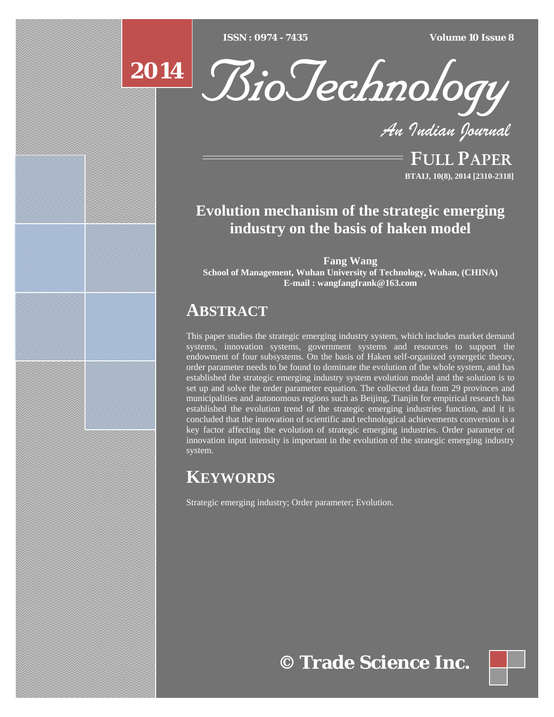[Type text] [Type text] [Type text] *ISSN : 0974 - 7435 Volume 10 Issue 8*



*An Indian Journal*

FULL PAPER **BTAIJ, 10(8), 2014 [2310-2318]**

# **Evolution mechanism of the strategic emerging industry on the basis of haken model**

**Fang Wang School of Management, Wuhan University of Technology, Wuhan, (CHINA) E-mail : wangfangfrank@163.com**

# **ABSTRACT**

This paper studies the strategic emerging industry system, which includes market demand systems, innovation systems, government systems and resources to support the endowment of four subsystems. On the basis of Haken self-organized synergetic theory, order parameter needs to be found to dominate the evolution of the whole system, and has established the strategic emerging industry system evolution model and the solution is to set up and solve the order parameter equation. The collected data from 29 provinces and municipalities and autonomous regions such as Beijing, Tianjin for empirical research has established the evolution trend of the strategic emerging industries function, and it is concluded that the innovation of scientific and technological achievements conversion is a key factor affecting the evolution of strategic emerging industries. Order parameter of innovation input intensity is important in the evolution of the strategic emerging industry system.

# **KEYWORDS**

Strategic emerging industry; Order parameter; Evolution.

**© Trade Science Inc.**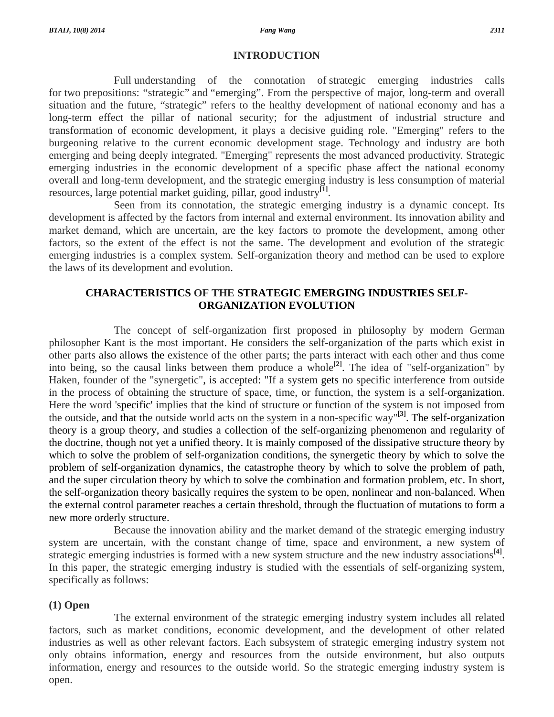## **INTRODUCTION**

 Full understanding of the connotation of strategic emerging industries calls for two prepositions: "strategic" and "emerging". From the perspective of major, long-term and overall situation and the future, "strategic" refers to the healthy development of national economy and has a long-term effect the pillar of national security; for the adjustment of industrial structure and transformation of economic development, it plays a decisive guiding role. "Emerging" refers to the burgeoning relative to the current economic development stage. Technology and industry are both emerging and being deeply integrated. "Emerging" represents the most advanced productivity. Strategic emerging industries in the economic development of a specific phase affect the national economy overall and long-term development, and the strategic emerging industry is less consumption of material resources, large potential market guiding, pillar, good industry**[1]**.

 Seen from its connotation, the strategic emerging industry is a dynamic concept. Its development is affected by the factors from internal and external environment. Its innovation ability and market demand, which are uncertain, are the key factors to promote the development, among other factors, so the extent of the effect is not the same. The development and evolution of the strategic emerging industries is a complex system. Self-organization theory and method can be used to explore the laws of its development and evolution.

# **CHARACTERISTICS OF THE STRATEGIC EMERGING INDUSTRIES SELF-ORGANIZATION EVOLUTION**

 The concept of self-organization first proposed in philosophy by modern German philosopher Kant is the most important. He considers the self-organization of the parts which exist in other parts also allows the existence of the other parts; the parts interact with each other and thus come into being, so the causal links between them produce a whole<sup>[2]</sup>. The idea of "self-organization" by Haken, founder of the "synergetic", is accepted: "If a system gets no specific interference from outside in the process of obtaining the structure of space, time, or function, the system is a self-organization. Here the word 'specific' implies that the kind of structure or function of the system is not imposed from the outside, and that the outside world acts on the system in a non-specific way"**[3]**. The self-organization theory is a group theory, and studies a collection of the self-organizing phenomenon and regularity of the doctrine, though not yet a unified theory. It is mainly composed of the dissipative structure theory by which to solve the problem of self-organization conditions, the synergetic theory by which to solve the problem of self-organization dynamics, the catastrophe theory by which to solve the problem of path, and the super circulation theory by which to solve the combination and formation problem, etc. In short, the self-organization theory basically requires the system to be open, nonlinear and non-balanced. When the external control parameter reaches a certain threshold, through the fluctuation of mutations to form a new more orderly structure.

 Because the innovation ability and the market demand of the strategic emerging industry system are uncertain, with the constant change of time, space and environment, a new system of strategic emerging industries is formed with a new system structure and the new industry associations**[4]**. In this paper, the strategic emerging industry is studied with the essentials of self-organizing system, specifically as follows:

# **(1) Open**

 The external environment of the strategic emerging industry system includes all related factors, such as market conditions, economic development, and the development of other related industries as well as other relevant factors. Each subsystem of strategic emerging industry system not only obtains information, energy and resources from the outside environment, but also outputs information, energy and resources to the outside world. So the strategic emerging industry system is open.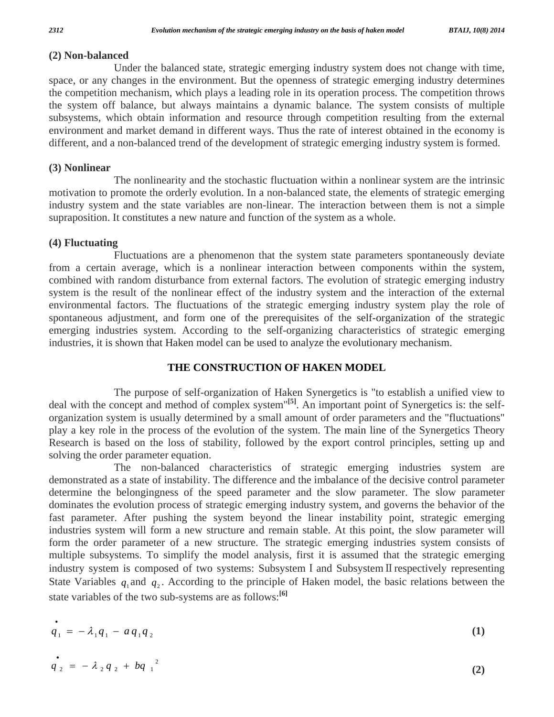# **(2) Non-balanced**

 Under the balanced state, strategic emerging industry system does not change with time, space, or any changes in the environment. But the openness of strategic emerging industry determines the competition mechanism, which plays a leading role in its operation process. The competition throws the system off balance, but always maintains a dynamic balance. The system consists of multiple subsystems, which obtain information and resource through competition resulting from the external environment and market demand in different ways. Thus the rate of interest obtained in the economy is different, and a non-balanced trend of the development of strategic emerging industry system is formed.

#### **(3) Nonlinear**

 The nonlinearity and the stochastic fluctuation within a nonlinear system are the intrinsic motivation to promote the orderly evolution. In a non-balanced state, the elements of strategic emerging industry system and the state variables are non-linear. The interaction between them is not a simple supraposition. It constitutes a new nature and function of the system as a whole.

## **(4) Fluctuating**

 Fluctuations are a phenomenon that the system state parameters spontaneously deviate from a certain average, which is a nonlinear interaction between components within the system, combined with random disturbance from external factors. The evolution of strategic emerging industry system is the result of the nonlinear effect of the industry system and the interaction of the external environmental factors. The fluctuations of the strategic emerging industry system play the role of spontaneous adjustment, and form one of the prerequisites of the self-organization of the strategic emerging industries system. According to the self-organizing characteristics of strategic emerging industries, it is shown that Haken model can be used to analyze the evolutionary mechanism.

# **THE CONSTRUCTION OF HAKEN MODEL**

 The purpose of self-organization of Haken Synergetics is "to establish a unified view to deal with the concept and method of complex system"**[5]**. An important point of Synergetics is: the selforganization system is usually determined by a small amount of order parameters and the "fluctuations" play a key role in the process of the evolution of the system. The main line of the Synergetics Theory Research is based on the loss of stability, followed by the export control principles, setting up and solving the order parameter equation.

 The non-balanced characteristics of strategic emerging industries system are demonstrated as a state of instability. The difference and the imbalance of the decisive control parameter determine the belongingness of the speed parameter and the slow parameter. The slow parameter dominates the evolution process of strategic emerging industry system, and governs the behavior of the fast parameter. After pushing the system beyond the linear instability point, strategic emerging industries system will form a new structure and remain stable. At this point, the slow parameter will form the order parameter of a new structure. The strategic emerging industries system consists of multiple subsystems. To simplify the model analysis, first it is assumed that the strategic emerging industry system is composed of two systems: Subsystem I and Subsystem II respectively representing State Variables  $q_1$  and  $q_2$ . According to the principle of Haken model, the basic relations between the state variables of the two sub-systems are as follows:**[6]** 

$$
\dot{q}_1 = -\lambda_1 q_1 - a q_1 q_2 \tag{1}
$$

$$
q_2 = -\lambda_2 q_2 + bq_1^2 \tag{2}
$$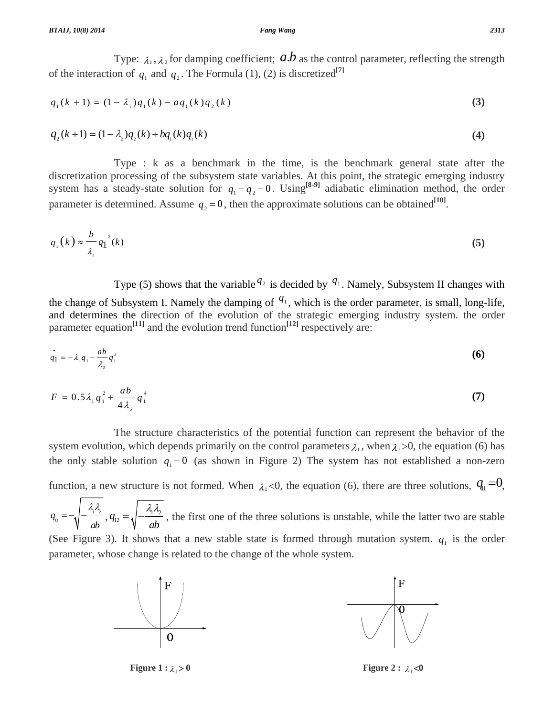# Type:  $\lambda_1, \lambda_2$  for damping coefficient;  $a.b$  as the control parameter, reflecting the strength of the interaction of  $q_1$  and  $q_2$ . The Formula (1), (2) is discretized<sup>[7]</sup>

$$
q_1(k+1) = (1 - \lambda_1)q_1(k) - aq_1(k)q_2(k)
$$
\n(3)

$$
q_2(k+1) = (1 - \lambda_2)q_2(k) + bq_1(k)q_1(k)
$$
\n(4)

 Type : k as a benchmark in the time, is the benchmark general state after the discretization processing of the subsystem state variables. At this point, the strategic emerging industry system has a steady-state solution for  $q_1 = q_2 = 0$ . Using<sup>[8-9]</sup> adiabatic elimination method, the order parameter is determined. Assume  $q_2 = 0$ , then the approximate solutions can be obtained<sup>[10]</sup>.

$$
q_{2}(k) \approx \frac{b}{\lambda_{2}} q_{1}^{2}(k) \tag{5}
$$

Type (5) shows that the variable  $q_2$  is decided by  $q_1$ . Namely, Subsystem II changes with

the change of Subsystem I. Namely the damping of  $q_1$ , which is the order parameter, is small, long-life, and determines the direction of the evolution of the strategic emerging industry system. the order parameter equation<sup>[11]</sup> and the evolution trend function<sup>[12]</sup> respectively are:

$$
\dot{q}_1 = -\lambda_1 q_1 - \frac{ab}{\lambda_2} q_1^3 \tag{6}
$$

$$
F = 0.5 \lambda_1 q_1^2 + \frac{ab}{4\lambda_2} q_1^4 \tag{7}
$$

 The structure characteristics of the potential function can represent the behavior of the system evolution, which depends primarily on the control parameters  $\lambda_1$ , when  $\lambda_1$ >0, the equation (6) has the only stable solution  $q_1 = 0$  (as shown in Figure 2) The system has not established a non-zero

function, a new structure is not formed. When  $\lambda_1 < 0$ , the equation (6), there are three solutions,  $q_1 = 0$ ,

 $q_{_{13}} = -\sqrt{-\frac{1}{2} \cdot \frac{1}{2}}$ *ab*  $=-\sqrt{-\frac{\lambda_1\lambda_2}{ab}}$ ,  $q_{12}=\sqrt{-\frac{\lambda_1\lambda_2}{ab}}$ , the first one of the three solutions is unstable, while the latter two are stable (See Figure 3). It shows that a new stable state is formed through mutation system.  $q_1$  is the order

parameter, whose change is related to the change of the whole system.



**Figure 1 :**  $\lambda_1 > 0$  **Figure 2 :**  $\lambda_1 < 0$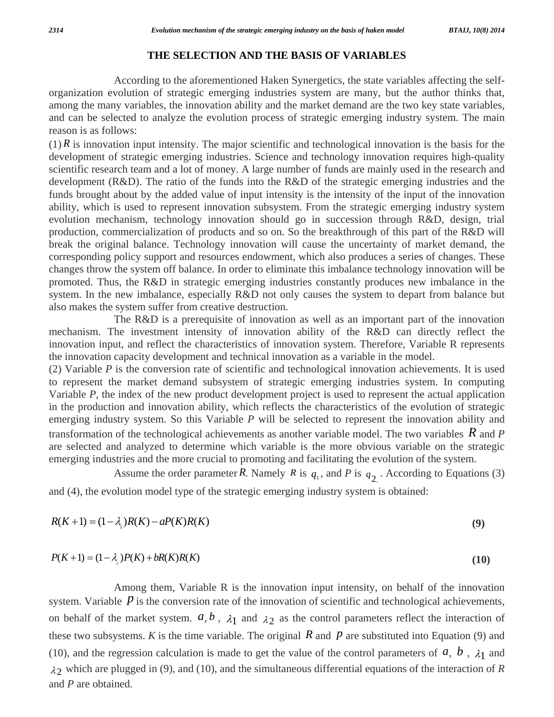## **THE SELECTION AND THE BASIS OF VARIABLES**

 According to the aforementioned Haken Synergetics, the state variables affecting the selforganization evolution of strategic emerging industries system are many, but the author thinks that, among the many variables, the innovation ability and the market demand are the two key state variables, and can be selected to analyze the evolution process of strategic emerging industry system. The main reason is as follows:

 $(1)$  *R* is innovation input intensity. The major scientific and technological innovation is the basis for the development of strategic emerging industries. Science and technology innovation requires high-quality scientific research team and a lot of money. A large number of funds are mainly used in the research and development (R&D). The ratio of the funds into the R&D of the strategic emerging industries and the funds brought about by the added value of input intensity is the intensity of the input of the innovation ability, which is used to represent innovation subsystem. From the strategic emerging industry system evolution mechanism, technology innovation should go in succession through R&D, design, trial production, commercialization of products and so on. So the breakthrough of this part of the R&D will break the original balance. Technology innovation will cause the uncertainty of market demand, the corresponding policy support and resources endowment, which also produces a series of changes. These changes throw the system off balance. In order to eliminate this imbalance technology innovation will be promoted. Thus, the R&D in strategic emerging industries constantly produces new imbalance in the system. In the new imbalance, especially R&D not only causes the system to depart from balance but also makes the system suffer from creative destruction.

 The R&D is a prerequisite of innovation as well as an important part of the innovation mechanism. The investment intensity of innovation ability of the R&D can directly reflect the innovation input, and reflect the characteristics of innovation system. Therefore, Variable R represents the innovation capacity development and technical innovation as a variable in the model.

(2) Variable *P* is the conversion rate of scientific and technological innovation achievements. It is used to represent the market demand subsystem of strategic emerging industries system. In computing Variable *P*, the index of the new product development project is used to represent the actual application in the production and innovation ability, which reflects the characteristics of the evolution of strategic emerging industry system. So this Variable *P* will be selected to represent the innovation ability and transformation of the technological achievements as another variable model. The two variables *R* and *P* are selected and analyzed to determine which variable is the more obvious variable on the strategic emerging industries and the more crucial to promoting and facilitating the evolution of the system.

Assume the order parameter *R*. Namely *R* is  $q_1$ , and *P* is  $q_2$ . According to Equations (3) and (4), the evolution model type of the strategic emerging industry system is obtained:

$$
R(K+1) = (1 - \lambda_1)R(K) - aP(K)R(K)
$$
\n(9)

$$
P(K+1) = (1 - \lambda_2)P(K) + bR(K)R(K)
$$
\n(10)

 Among them, Variable R is the innovation input intensity, on behalf of the innovation system. Variable  *is the conversion rate of the innovation of scientific and technological achievements,* on behalf of the market system.  $a, b$ ,  $\lambda_1$  and  $\lambda_2$  as the control parameters reflect the interaction of these two subsystems. *K* is the time variable. The original  $R$  and  $p$  are substituted into Equation (9) and (10), and the regression calculation is made to get the value of the control parameters of  $a, b, \lambda_1$  and  $\lambda_2$  which are plugged in (9), and (10), and the simultaneous differential equations of the interaction of *R* and *P* are obtained.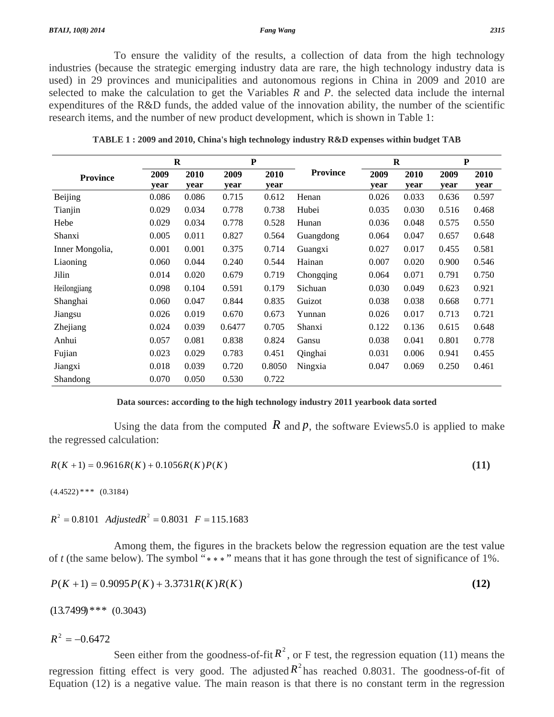To ensure the validity of the results, a collection of data from the high technology industries (because the strategic emerging industry data are rare, the high technology industry data is used) in 29 provinces and municipalities and autonomous regions in China in 2009 and 2010 are selected to make the calculation to get the Variables *R* and *P*. the selected data include the internal expenditures of the R&D funds, the added value of the innovation ability, the number of the scientific research items, and the number of new product development, which is shown in Table 1:

|                 | $\bf R$ |       | ${\bf P}$ |        |                 | $\bf R$ |       | ${\bf P}$ |       |
|-----------------|---------|-------|-----------|--------|-----------------|---------|-------|-----------|-------|
| <b>Province</b> | 2009    | 2010  | 2009      | 2010   | <b>Province</b> | 2009    | 2010  | 2009      | 2010  |
|                 | year    | year  | year      | year   |                 | year    | year  | year      | year  |
| Beijing         | 0.086   | 0.086 | 0.715     | 0.612  | Henan           | 0.026   | 0.033 | 0.636     | 0.597 |
| Tianjin         | 0.029   | 0.034 | 0.778     | 0.738  | Hubei           | 0.035   | 0.030 | 0.516     | 0.468 |
| Hebe            | 0.029   | 0.034 | 0.778     | 0.528  | Hunan           | 0.036   | 0.048 | 0.575     | 0.550 |
| Shanxi          | 0.005   | 0.011 | 0.827     | 0.564  | Guangdong       | 0.064   | 0.047 | 0.657     | 0.648 |
| Inner Mongolia, | 0.001   | 0.001 | 0.375     | 0.714  | Guangxi         | 0.027   | 0.017 | 0.455     | 0.581 |
| Liaoning        | 0.060   | 0.044 | 0.240     | 0.544  | Hainan          | 0.007   | 0.020 | 0.900     | 0.546 |
| Jilin           | 0.014   | 0.020 | 0.679     | 0.719  | Chongqing       | 0.064   | 0.071 | 0.791     | 0.750 |
| Heilongjiang    | 0.098   | 0.104 | 0.591     | 0.179  | Sichuan         | 0.030   | 0.049 | 0.623     | 0.921 |
| Shanghai        | 0.060   | 0.047 | 0.844     | 0.835  | Guizot          | 0.038   | 0.038 | 0.668     | 0.771 |
| Jiangsu         | 0.026   | 0.019 | 0.670     | 0.673  | Yunnan          | 0.026   | 0.017 | 0.713     | 0.721 |
| Zhejiang        | 0.024   | 0.039 | 0.6477    | 0.705  | Shanxi          | 0.122   | 0.136 | 0.615     | 0.648 |
| Anhui           | 0.057   | 0.081 | 0.838     | 0.824  | Gansu           | 0.038   | 0.041 | 0.801     | 0.778 |
| Fujian          | 0.023   | 0.029 | 0.783     | 0.451  | Qinghai         | 0.031   | 0.006 | 0.941     | 0.455 |
| Jiangxi         | 0.018   | 0.039 | 0.720     | 0.8050 | Ningxia         | 0.047   | 0.069 | 0.250     | 0.461 |
| Shandong        | 0.070   | 0.050 | 0.530     | 0.722  |                 |         |       |           |       |

**TABLE 1 : 2009 and 2010, China's high technology industry R&D expenses within budget TAB** 

#### **Data sources: according to the high technology industry 2011 yearbook data sorted**

Using the data from the computed  $\hat{R}$  and  $\hat{p}$ , the software Eviews 5.0 is applied to make the regressed calculation:

$$
R(K+1) = 0.9616R(K) + 0.1056R(K)P(K)
$$
\n(11)

 $(4.4522)$ \*\*\*  $(0.3184)$ 

 $R^2 = 0.8101$  *Adjusted* $R^2 = 0.8031$  *F* = 115.1683

 Among them, the figures in the brackets below the regression equation are the test value of *t* (the same below). The symbol "\*\*\*" means that it has gone through the test of significance of 1%.

$$
P(K+1) = 0.9095 P(K) + 3.3731 R(K) R(K)
$$
\n(12)

 $(13.7499)$ \*\*\*  $(0.3043)$ 

 $R^2 = -0.6472$ 

Seen either from the goodness-of-fit  $R^2$ , or F test, the regression equation (11) means the regression fitting effect is very good. The adjusted  $R^2$  has reached 0.8031. The goodness-of-fit of Equation (12) is a negative value. The main reason is that there is no constant term in the regression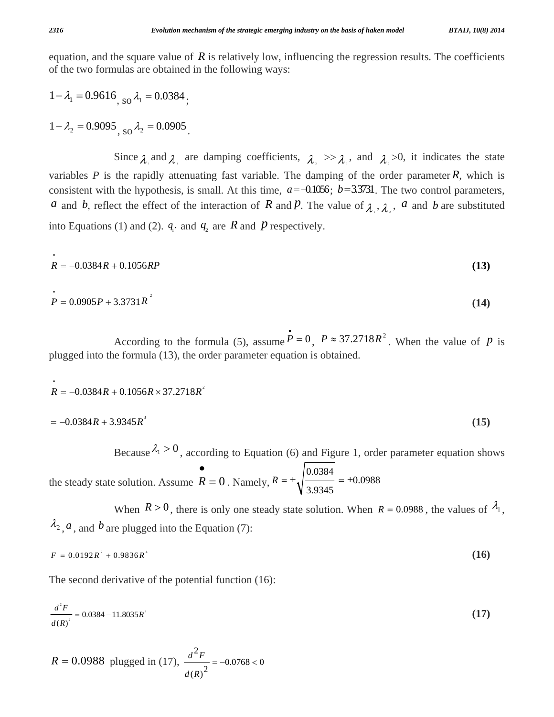equation, and the square value of  $R$  is relatively low, influencing the regression results. The coefficients of the two formulas are obtained in the following ways:

 $1 - \lambda_1 = 0.9616$   $_{\text{SO}} \lambda_1 = 0.0384$ .

 $1 - \lambda_2 = 0.9095$ , so  $\lambda_2 = 0.0905$ 

Since  $\lambda_i$  and  $\lambda_j$  are damping coefficients,  $\lambda_i \gg \lambda_i$ , and  $\lambda_i \gg 0$ , it indicates the state variables *P* is the rapidly attenuating fast variable. The damping of the order parameter  $\hat{R}$ , which is consistent with the hypothesis, is small. At this time,  $a = -0.1056$ ;  $b = 3.3731$ . The two control parameters, *a* and *b*, reflect the effect of the interaction of *R* and *P*. The value of  $\lambda_1$ ,  $\lambda_2$ , *a* and *b* are substituted into Equations (1) and (2).  $q_i$  and  $q_2$  are  $R$  and  $P$  respectively.

$$
R = -0.0384R + 0.1056RP
$$
\n<sup>(13)</sup>

$$
P = 0.0905P + 3.3731R^{2}
$$
 (14)

According to the formula (5), assume  $\vec{P} = 0$ ,  $P \approx 37.2718R^2$ . When the value of *P* is plugged into the formula (13), the order parameter equation is obtained.

$$
R = -0.0384R + 0.1056R \times 37.2718R^{2}
$$
  
= -0.0384R + 3.9345R<sup>3</sup> (15)

Because  $\lambda_1 > 0$ , according to Equation (6) and Figure 1, order parameter equation shows

the steady state solution. Assume  $R = 0$ •  $= 0$ . Namely, 0.0384 0.0988 3.9345  $R=\pm$ <sub>4</sub> $\overline{\qquad}$  =  $\pm$ 

When  $R > 0$ , there is only one steady state solution. When  $R = 0.0988$ , the values of  $\lambda_1$ ,  $\lambda_2$ , *a*, and *b* are plugged into the Equation (7):

$$
F = 0.0192R^2 + 0.9836R^4 \tag{16}
$$

The second derivative of the potential function (16):

$$
\frac{d^2F}{d(R)^2} = 0.0384 - 11.8035R^2 \tag{17}
$$

$$
R = 0.0988 \text{ plugged in (17), } \frac{d^2 F}{d(R)^2} = -0.0768 < 0
$$

•

•

•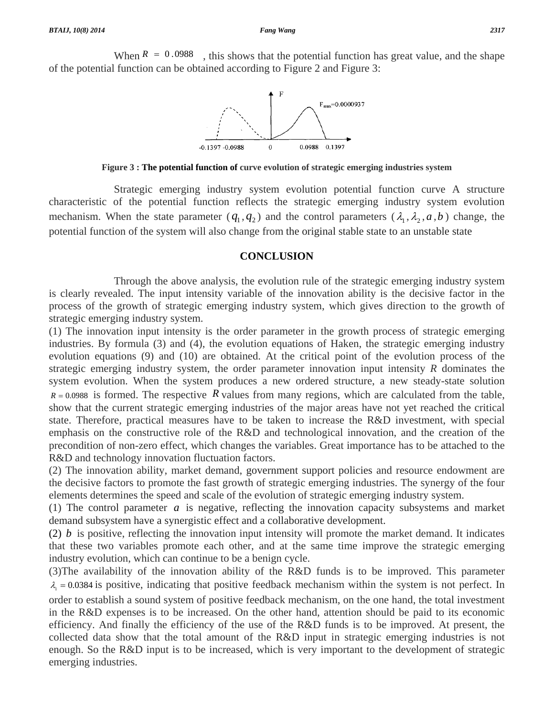When  $R = 0.0988$ , this shows that the potential function has great value, and the shape of the potential function can be obtained according to Figure 2 and Figure 3:



**Figure 3 : The potential function of curve evolution of strategic emerging industries system** 

 Strategic emerging industry system evolution potential function curve A structure characteristic of the potential function reflects the strategic emerging industry system evolution mechanism. When the state parameter  $(q_1, q_2)$  and the control parameters  $(\lambda_1, \lambda_2, a, b)$  change, the potential function of the system will also change from the original stable state to an unstable state

#### **CONCLUSION**

 Through the above analysis, the evolution rule of the strategic emerging industry system is clearly revealed. The input intensity variable of the innovation ability is the decisive factor in the process of the growth of strategic emerging industry system, which gives direction to the growth of strategic emerging industry system.

(1) The innovation input intensity is the order parameter in the growth process of strategic emerging industries. By formula (3) and (4), the evolution equations of Haken, the strategic emerging industry evolution equations (9) and (10) are obtained. At the critical point of the evolution process of the strategic emerging industry system, the order parameter innovation input intensity *R* dominates the system evolution. When the system produces a new ordered structure, a new steady-state solution  $R = 0.0988$  is formed. The respective R values from many regions, which are calculated from the table, show that the current strategic emerging industries of the major areas have not yet reached the critical state. Therefore, practical measures have to be taken to increase the R&D investment, with special emphasis on the constructive role of the R&D and technological innovation, and the creation of the precondition of non-zero effect, which changes the variables. Great importance has to be attached to the R&D and technology innovation fluctuation factors.

(2) The innovation ability, market demand, government support policies and resource endowment are the decisive factors to promote the fast growth of strategic emerging industries. The synergy of the four elements determines the speed and scale of the evolution of strategic emerging industry system.

(1) The control parameter *a* is negative, reflecting the innovation capacity subsystems and market demand subsystem have a synergistic effect and a collaborative development.

(2) *b* is positive, reflecting the innovation input intensity will promote the market demand. It indicates that these two variables promote each other, and at the same time improve the strategic emerging industry evolution, which can continue to be a benign cycle.

(3)The availability of the innovation ability of the R&D funds is to be improved. This parameter  $\lambda_1 = 0.0384$  is positive, indicating that positive feedback mechanism within the system is not perfect. In

order to establish a sound system of positive feedback mechanism, on the one hand, the total investment in the R&D expenses is to be increased. On the other hand, attention should be paid to its economic efficiency. And finally the efficiency of the use of the R&D funds is to be improved. At present, the collected data show that the total amount of the R&D input in strategic emerging industries is not enough. So the R&D input is to be increased, which is very important to the development of strategic emerging industries.